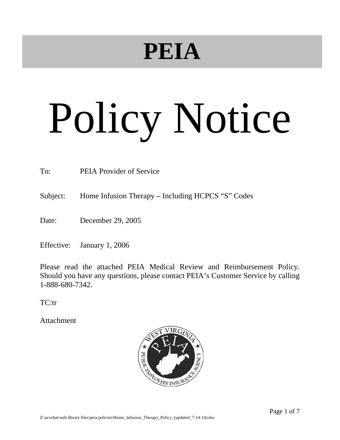## **PEIA**

# Policy Notice

To: PEIA Provider of Service

Subject: Home Infusion Therapy **–** Including HCPCS "S" Codes

Date: December 29, 2005

Effective: January 1, 2006

Please read the attached PEIA Medical Review and Reimbursement Policy. Should you have any questions, please contact PEIA's Customer Service by calling 1-888-680-7342.

TC:tr

Attachment

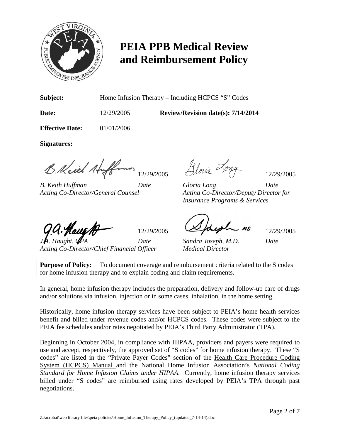

### **PEIA PPB Medical Review and Reimbursement Policy**

**Subject:** Home Infusion Therapy – Including HCPCS "S" Codes

**Date:** 12/29/2005 **Review/Revision date(s): 7/14/2014** 

**Effective Date:** 01/01/2006

**Signatures:**

B. Keich Huff 12/29/2005 Aloria Long

*B. Keith Huffman Date Gloria Long Date Acting Co-Director/General Counsel Acting Co-Director/Deputy Director for* 

 $12/29/2005$   $12/29/2005$ 

*Insurance Programs & Services* 

*Acting Co-Director/Chief Financial Officer Medical Director* 

*Date* Sandra Joseph, M.D. Date

**Purpose of Policy:** To document coverage and reimbursement criteria related to the S codes for home infusion therapy and to explain coding and claim requirements.

In general, home infusion therapy includes the preparation, delivery and follow-up care of drugs and/or solutions via infusion, injection or in some cases, inhalation, in the home setting.

Historically, home infusion therapy services have been subject to PEIA's home health services benefit and billed under revenue codes and/or HCPCS codes. These codes were subject to the PEIA fee schedules and/or rates negotiated by PEIA's Third Party Administrator (TPA).

Beginning in October 2004, in compliance with HIPAA, providers and payers were required to use and accept, respectively, the approved set of "S codes" for home infusion therapy. These "S codes" are listed in the "Private Payer Codes" section of the Health Care Procedure Coding System (HCPCS) Manual and the National Home Infusion Association's *National Coding Standard for Home Infusion Claims under HIPAA*. Currently, home infusion therapy services billed under "S codes" are reimbursed using rates developed by PEIA's TPA through past negotiations.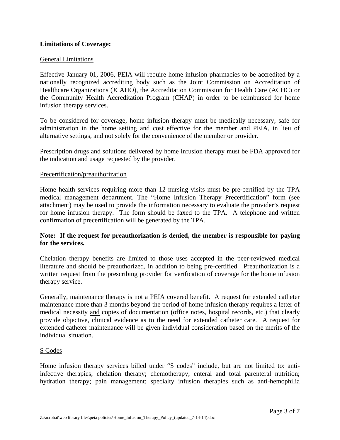#### **Limitations of Coverage:**

#### General Limitations

Effective January 01, 2006, PEIA will require home infusion pharmacies to be accredited by a nationally recognized accrediting body such as the Joint Commission on Accreditation of Healthcare Organizations (JCAHO), the Accreditation Commission for Health Care (ACHC) or the Community Health Accreditation Program (CHAP) in order to be reimbursed for home infusion therapy services.

To be considered for coverage, home infusion therapy must be medically necessary, safe for administration in the home setting and cost effective for the member and PEIA, in lieu of alternative settings, and not solely for the convenience of the member or provider.

Prescription drugs and solutions delivered by home infusion therapy must be FDA approved for the indication and usage requested by the provider.

#### Precertification/preauthorization

Home health services requiring more than 12 nursing visits must be pre-certified by the TPA medical management department. The "Home Infusion Therapy Precertification" form (see attachment) may be used to provide the information necessary to evaluate the provider's request for home infusion therapy. The form should be faxed to the TPA. A telephone and written confirmation of precertification will be generated by the TPA.

#### **Note: If the request for preauthorization is denied, the member is responsible for paying for the services.**

Chelation therapy benefits are limited to those uses accepted in the peer-reviewed medical literature and should be preauthorized, in addition to being pre-certified. Preauthorization is a written request from the prescribing provider for verification of coverage for the home infusion therapy service.

Generally, maintenance therapy is not a PEIA covered benefit. A request for extended catheter maintenance more than 3 months beyond the period of home infusion therapy requires a letter of medical necessity and copies of documentation (office notes, hospital records, etc.) that clearly provide objective, clinical evidence as to the need for extended catheter care. A request for extended catheter maintenance will be given individual consideration based on the merits of the individual situation.

#### S Codes

Home infusion therapy services billed under "S codes" include, but are not limited to: antiinfective therapies; chelation therapy; chemotherapy; enteral and total parenteral nutrition; hydration therapy; pain management; specialty infusion therapies such as anti-hemophilia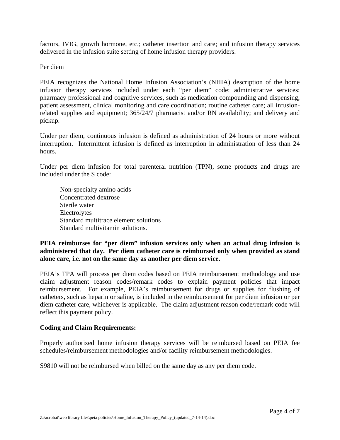factors, IVIG, growth hormone, etc.; catheter insertion and care; and infusion therapy services delivered in the infusion suite setting of home infusion therapy providers.

#### Per diem

PEIA recognizes the National Home Infusion Association's (NHIA) description of the home infusion therapy services included under each "per diem" code: administrative services; pharmacy professional and cognitive services, such as medication compounding and dispensing, patient assessment, clinical monitoring and care coordination; routine catheter care; all infusionrelated supplies and equipment; 365/24/7 pharmacist and/or RN availability; and delivery and pickup.

Under per diem, continuous infusion is defined as administration of 24 hours or more without interruption. Intermittent infusion is defined as interruption in administration of less than 24 hours.

Under per diem infusion for total parenteral nutrition (TPN), some products and drugs are included under the S code:

 Non-specialty amino acids Concentrated dextrose Sterile water Electrolytes Standard multitrace element solutions Standard multivitamin solutions.

#### **PEIA reimburses for "per diem" infusion services only when an actual drug infusion is administered that day. Per diem catheter care is reimbursed only when provided as stand alone care, i.e. not on the same day as another per diem service.**

PEIA's TPA will process per diem codes based on PEIA reimbursement methodology and use claim adjustment reason codes/remark codes to explain payment policies that impact reimbursement. For example, PEIA's reimbursement for drugs or supplies for flushing of catheters, such as heparin or saline, is included in the reimbursement for per diem infusion or per diem catheter care, whichever is applicable. The claim adjustment reason code/remark code will reflect this payment policy.

#### **Coding and Claim Requirements:**

Properly authorized home infusion therapy services will be reimbursed based on PEIA fee schedules/reimbursement methodologies and/or facility reimbursement methodologies.

S9810 will not be reimbursed when billed on the same day as any per diem code.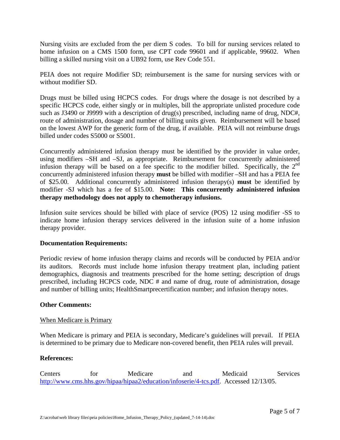Nursing visits are excluded from the per diem S codes. To bill for nursing services related to home infusion on a CMS 1500 form, use CPT code 99601 and if applicable, 99602. When billing a skilled nursing visit on a UB92 form, use Rev Code 551.

PEIA does not require Modifier SD; reimbursement is the same for nursing services with or without modifier SD.

Drugs must be billed using HCPCS codes. For drugs where the dosage is not described by a specific HCPCS code, either singly or in multiples, bill the appropriate unlisted procedure code such as J3490 or J9999 with a description of drug(s) prescribed, including name of drug, NDC#, route of administration, dosage and number of billing units given. Reimbursement will be based on the lowest AWP for the generic form of the drug, if available. PEIA will not reimburse drugs billed under codes S5000 or S5001.

Concurrently administered infusion therapy must be identified by the provider in value order, using modifiers –SH and –SJ, as appropriate. Reimbursement for concurrently administered infusion therapy will be based on a fee specific to the modifier billed. Specifically, the  $2<sup>nd</sup>$ concurrently administered infusion therapy **must** be billed with modifier –SH and has a PEIA fee of \$25.00. Additional concurrently administered infusion therapy(s) **must** be identified by modifier -SJ which has a fee of \$15.00. **Note: This concurrently administered infusion therapy methodology does not apply to chemotherapy infusions.** 

Infusion suite services should be billed with place of service (POS) 12 using modifier -SS to indicate home infusion therapy services delivered in the infusion suite of a home infusion therapy provider.

#### **Documentation Requirements:**

Periodic review of home infusion therapy claims and records will be conducted by PEIA and/or its auditors. Records must include home infusion therapy treatment plan, including patient demographics, diagnosis and treatments prescribed for the home setting; description of drugs prescribed, including HCPCS code, NDC # and name of drug, route of administration, dosage and number of billing units; HealthSmartprecertification number; and infusion therapy notes.

#### **Other Comments:**

#### When Medicare is Primary

When Medicare is primary and PEIA is secondary, Medicare's guidelines will prevail. If PEIA is determined to be primary due to Medicare non-covered benefit, then PEIA rules will prevail.

#### **References:**

Centers for Medicare and Medicaid Services http://www.cms.hhs.gov/hipaa/hipaa2/education/infoserie/4-tcs.pdf. Accessed 12/13/05.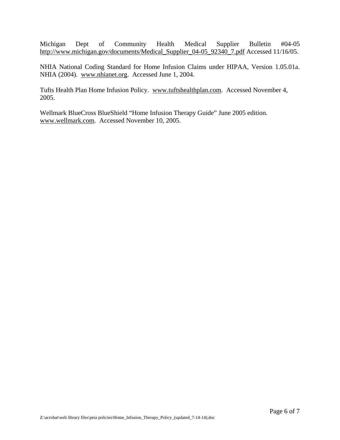Michigan Dept of Community Health Medical Supplier Bulletin #04-05 http://www.michigan.gov/documents/Medical\_Supplier\_04-05\_92340\_7.pdf Accessed 11/16/05.

NHIA National Coding Standard for Home Infusion Claims under HIPAA, Version 1.05.01a. NHIA (2004). www.nhianet.org. Accessed June 1, 2004.

Tufts Health Plan Home Infusion Policy. www.tuftshealthplan.com. Accessed November 4, 2005.

Wellmark BlueCross BlueShield "Home Infusion Therapy Guide" June 2005 edition. www.wellmark.com. Accessed November 10, 2005.